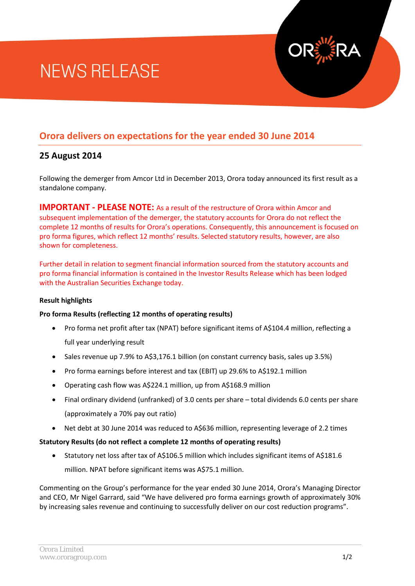# **NEWS RELEASE**

# **Orora delivers on expectations for the year ended 30 June 2014**

## **25 August 2014**

Following the demerger from Amcor Ltd in December 2013, Orora today announced its first result as a standalone company.

**IMPORTANT - PLEASE NOTE:** As a result of the restructure of Orora within Amcor and subsequent implementation of the demerger, the statutory accounts for Orora do not reflect the complete 12 months of results for Orora's operations. Consequently, this announcement is focused on pro forma figures, which reflect 12 months' results. Selected statutory results, however, are also shown for completeness.

Further detail in relation to segment financial information sourced from the statutory accounts and pro forma financial information is contained in the Investor Results Release which has been lodged with the Australian Securities Exchange today.

## **Result highlights**

## **Pro forma Results (reflecting 12 months of operating results)**

- Pro forma net profit after tax (NPAT) before significant items of A\$104.4 million, reflecting a full year underlying result
- Sales revenue up 7.9% to A\$3,176.1 billion (on constant currency basis, sales up 3.5%)
- Pro forma earnings before interest and tax (EBIT) up 29.6% to A\$192.1 million
- Operating cash flow was A\$224.1 million, up from A\$168.9 million
- Final ordinary dividend (unfranked) of 3.0 cents per share total dividends 6.0 cents per share (approximately a 70% pay out ratio)
- Net debt at 30 June 2014 was reduced to A\$636 million, representing leverage of 2.2 times

## **Statutory Results (do not reflect a complete 12 months of operating results)**

• Statutory net loss after tax of A\$106.5 million which includes significant items of A\$181.6 million. NPAT before significant items was A\$75.1 million.

Commenting on the Group's performance for the year ended 30 June 2014, Orora's Managing Director and CEO, Mr Nigel Garrard, said "We have delivered pro forma earnings growth of approximately 30% by increasing sales revenue and continuing to successfully deliver on our cost reduction programs".